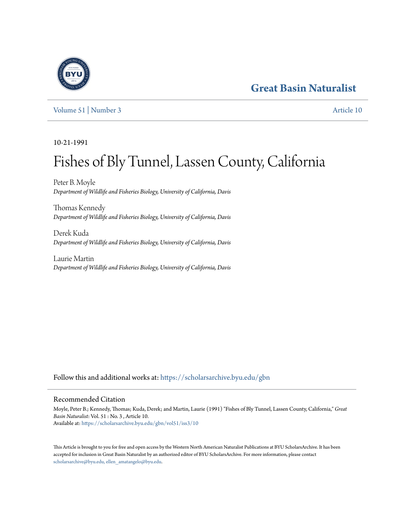# **[Great Basin Naturalist](https://scholarsarchive.byu.edu/gbn?utm_source=scholarsarchive.byu.edu%2Fgbn%2Fvol51%2Fiss3%2F10&utm_medium=PDF&utm_campaign=PDFCoverPages)**



[Volume 51](https://scholarsarchive.byu.edu/gbn/vol51?utm_source=scholarsarchive.byu.edu%2Fgbn%2Fvol51%2Fiss3%2F10&utm_medium=PDF&utm_campaign=PDFCoverPages) | [Number 3](https://scholarsarchive.byu.edu/gbn/vol51/iss3?utm_source=scholarsarchive.byu.edu%2Fgbn%2Fvol51%2Fiss3%2F10&utm_medium=PDF&utm_campaign=PDFCoverPages) [Article 10](https://scholarsarchive.byu.edu/gbn/vol51/iss3/10?utm_source=scholarsarchive.byu.edu%2Fgbn%2Fvol51%2Fiss3%2F10&utm_medium=PDF&utm_campaign=PDFCoverPages)

10-21-1991

# Fishes of Bly Tunnel, Lassen County, California

Peter B. Moyle *Department of Wildlife and Fisheries Biology, University of California, Davis*

Thomas Kennedy *Department of Wildlife and Fisheries Biology, University of California, Davis*

Derek Kuda *Department of Wildlife and Fisheries Biology, University of California, Davis*

Laurie Martin *Department of Wildlife and Fisheries Biology, University of California, Davis*

Follow this and additional works at: [https://scholarsarchive.byu.edu/gbn](https://scholarsarchive.byu.edu/gbn?utm_source=scholarsarchive.byu.edu%2Fgbn%2Fvol51%2Fiss3%2F10&utm_medium=PDF&utm_campaign=PDFCoverPages)

## Recommended Citation

Moyle, Peter B.; Kennedy, Thomas; Kuda, Derek; and Martin, Laurie (1991) "Fishes of Bly Tunnel, Lassen County, California," *Great Basin Naturalist*: Vol. 51 : No. 3 , Article 10. Available at: [https://scholarsarchive.byu.edu/gbn/vol51/iss3/10](https://scholarsarchive.byu.edu/gbn/vol51/iss3/10?utm_source=scholarsarchive.byu.edu%2Fgbn%2Fvol51%2Fiss3%2F10&utm_medium=PDF&utm_campaign=PDFCoverPages)

This Article is brought to you for free and open access by the Western North American Naturalist Publications at BYU ScholarsArchive. It has been accepted for inclusion in Great Basin Naturalist by an authorized editor of BYU ScholarsArchive. For more information, please contact [scholarsarchive@byu.edu, ellen\\_amatangelo@byu.edu.](mailto:scholarsarchive@byu.edu,%20ellen_amatangelo@byu.edu)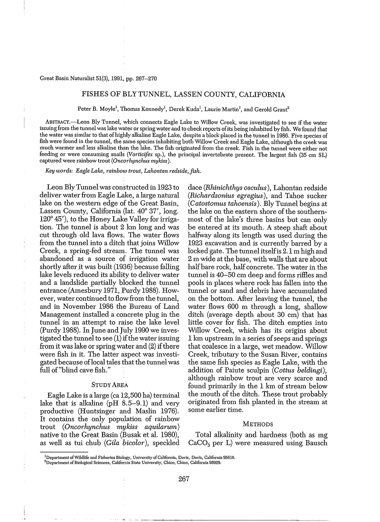#### Great Basin Naturalist 51(3), 1991, pp. 267-270

### FISHES OF BLY TUNNEL, LASSEN COUNTY, CALIFORNIA

Peter B. Moyle<sup>1</sup>, Thomas Kennedy<sup>1</sup>, Derek Kuda<sup>1</sup>, Laurie Martin<sup>1</sup>, and Gerold Grant<sup>5</sup>

ABSTRACT.-Leon Bly Tunnel, which connects Eagle Lake to Willow Creek, was investigated to see if the water issuing from the tunnel was lake water orspringwater and to check reports ofits being inhabited by fish. We found that the water was similar to that of highly alkaline Eagle Lake, despite a block placed in the tunnel in 1986. Five species of fish were found in the tunnel, the same species inhabiting both Willow Creek and Eagle Lake, although the creek was much warmer and less alkaline than the lake. The fish originated from the creek. Fish in the tunnel were either not feeding or were consuming snails *(Vorticifex* sp.), the principal invertebrate present. The largest fish (35 cm SL) captured were rainbow trout *(Oncorhynchus mykiss).*

*Key words: Eagle Lake, rainbow trout, Lahontan redside, fish.*

Leon ElyTunnel was constructed in 1923 to deliver water from Eagle Lake, a large natural lake on the western edge of the Great Basin, Lassen County, California (lat. 40° 37′, long. 120° 45'), to the Honey Lake Valley for irrigation. The tunnel is about 2 km long and was cut through old lava flows. The water flows from the tunnel into a ditch that joins Willow Creek, a spring-fed stream. The tunnel was abandoned as a source of irrigation water shortly after it was built (1936) because falling lake levels reduced its ability to deliver water and a landslide partially blocked the tunnel entrance (Amesbury 1971, Purdy 1988). However, water continued to flow from the tunnel, and in November 1986 the Bureau of Land Management installed a concrete plug in the tunnel in an attempt to raise the lake level (Purdy 1988). In June and July 1990 we investigated the tunnel to see  $(1)$  if the water issuing from it was lake or spring water and  $(2)$  if there were fish in it. The latter aspect was investigated because oflocal tales that the tunnel was full of'blind cave fish."

#### STUDY AREA

Eagle Lake is a large (ca 12,500 ha) terminal lake that is alkaline ( $pH \{8.5-9.1\}$ ) and very productive (Huntsinger and Maslin 1976). It contains the only population of rainbow trout *(Oncorhynchus mykiss aquilarum)* native to the Great Basin (Busak et al. 1980), as well as tui chub *(Gila bicolor),* speckled dace *(Rhinichthys osculus),* Lahontan redside *(Richardsonius egregius),* and Tahoe sucker *(Catostomus tahoensis).* Bly Tunnel begins at the lake on the eastern shore of the southernmost of the lake's three basins but can only be entered at its mouth. A steep shaft about halfway along its length was used during the 1923 excavation and is currently barred by a locked gate. The tunnel itselfis 2.1 m high and 2 m wide at the base, with walls that are about half bare rock, half concrete. The water in the tunnel is 40-50 cm deep and forms riflles and pools in places where rock has fallen into the tunnel or sand and debris have accumulated on the bottom. After leaving the tunnel, the water flows 600 m through a long, shallow ditch (average depth about 30 cm) that has little cover for fish. The ditch empties into Willow Creek, which has its origins about 1 km upstream in a series of seeps and springs that coalesce in a large, wet meadow. Willow Creek, tributary to the Susan River, contains the same fish species as Eagle Lake, with the addition of Paiute sculpin *(Cottus beldingi),* although rainbow trout are very scarce and found primarily in the 1 km of stream below the mouth of the ditch. These trout probably originated from fish planted in the stream at some earlier time.

#### **METHODS**

Total alkalinity and hardness (both as mg CaC03 per L) were measured using Bausch

**IDepartmentofWildlife and Fisheries Biology, University ofCalifomia. Davis, DaViS, Califi>rnia 95616. 2Departmcnt** ofBiological **Sciences, California State University, Chico, Chico, California 95929.**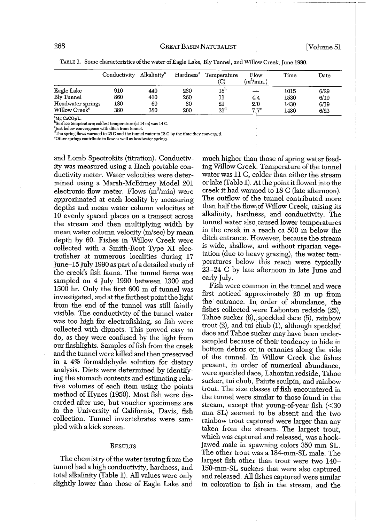|                           | Conductivity | Alkalinity <sup>a</sup> |     | Hardness <sup>a</sup> Temperature<br>(C) | Flow<br>(m <sup>3</sup> /min.) | Time | Date |
|---------------------------|--------------|-------------------------|-----|------------------------------------------|--------------------------------|------|------|
| Eagle Lake                | 910          | 440                     | 280 | 18 <sup>b</sup>                          | $\rightarrow$                  | 1015 | 6/29 |
| Bly Tunnel                | 860          | 410                     | 260 | 11                                       | 4.4                            | 1530 | 6/19 |
| Headwater springs         | 180          | 60                      | 80  | 21                                       | 2.0                            | 1430 | 6/19 |
| Willow Creek <sup>e</sup> | 380          | 380                     | 200 | 21 <sup>d</sup>                          | 7.7 <sup>c</sup>               | 1430 | 6/23 |

TABLE 1. Some characteristics ofthe water ofEagle Lake, Bly Tunnel, and Willow Creek, June 1990.

*'M!(CaCO.,/L.* **hSurface temperature; coldest temperature (at 14 m) W'JS 14 C.**

**'Just below convergence with ditch from tunnel.**

**"The** spring flows **warmed to25 C and the tunnel water to 18 C by the time they converged. COther springs contribute to flow as well a.'i headwater springs.**

and Lomb Spectrokits (titration). Conductivity was measured using a Hach portable conductivity meter. Water velocities were determined using a Marsh-McBirney Model 201 electronic flow meter. Flows  $(m^3/min)$  were approximated at each locality by measuring depths and mean water column velocities at 10 evenly spaced places on a transect across the stream and then multiplying width by mean water column velocity (m/sec) by mean depth by 60. Fishes in Willow Creek were collected with a Smith-Root Type XI electrofisher at numerous localities during 17 June-IS July 1990 as part ofa detailed study of the creek's fish fauna. The tunnel fauna was sampled on 4 July 1990 between 1300 and 1500 hr. Only the first 600 m of tunnel was investigated, and at the farthest point the light from the end of the tunnel was still faintly visible. The conductivity of the tunnel water was too high for electrofishing, so fish were collected with dipnets. This proved easy to do, as they were confused by the light from our flashlights. Samples of fish from the creek and the tunnel were killed and then preserved in a 4% formaldehyde solution for dietary analysis. Diets were determined by identifying the stomach contents and estimating relative volumes of each item using the points method of Hynes (1950). Most fish were discarded after use, but voucher specimens are in the University of California, Davis, fish collection. Tunnel invertebrates were sampled with a kick screen.

#### **RESULTS**

The chemistry of the water issuing from the tunnel had a high conductivity, hardness, and total alkalinity (Table 1). All values were only slightly lower than those of Eagle Lake and

much higher than those of spring water feeding Willow Creek. Temperature of the tunnel water was 11 C, colder than either the stream or lake (Table 1). At the point it flowed into the creek it had warmed to 18 C (late afternoon). The outflow of the tunnel contributed more than half the flow of Willow Creek, raising its alkalinity, hardness, and conductivity. The tunnel water also, caused lower temperatures in the creek in a reach ca 500 m below the ditch entrance. However, because the stream is wide, shallow, and without riparian vegetation (due to heavy grazing), the water temperatures below this reach were typically 23-24 C by late afternoon in late June and early July.

Fish were common in the tunnel and were first noticed· approximately 20 m up from the entrance. In order of abundance, the fishes collected were Lahontan redside (25), Tahoe sucker (6), speckled dace (5), rainbow trout (2), and tui chub (1), although speckled dace and Tahoe sucker may have been undersampled because of their tendency to hide in bottom debris or, in crannies along the side of the tunnel. In Willow Creek the fishes present, in order of numerical abundance, were speckled dace, Lahontan redside, Tahoe sucker, tui chub, Paiute sculpin, and rainbow trout. The size classes of fish encountered in the tunnel were similar to those found in the stream, except that young-of-year fish  $\langle \langle 30 \rangle$ mm SL) seemed to be absent and the two rainbow trout captured were larger than any taken from the stream. The largest trout, which was captured and released, was a hookjawed male in spawning colors 350 mm SL. The other trout was a 184-mm-SL male. The largest fish other than trout were two 140- 150-mm-SL suckers that were also captured and released. All fishes captured were similar in coloration to fish in the stream, and the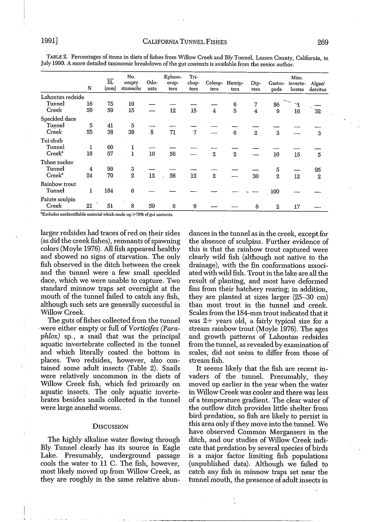|                    | N  | SL.<br>(mm) | No.<br>empty<br>stomachs | Odo-<br>nata | Ephem-<br>erop-<br>tera | Tri-<br>chop-<br>tera | Coleop-<br>tera | Hemip-<br>tera | Dip-<br>tera     | Gastro-<br>poda | Misc.<br>inverte-<br>brates | Algae/<br>detritus |
|--------------------|----|-------------|--------------------------|--------------|-------------------------|-----------------------|-----------------|----------------|------------------|-----------------|-----------------------------|--------------------|
| Lahontan redside   |    |             |                          |              |                         |                       |                 |                |                  |                 |                             |                    |
| Tunnel             | 16 | 75          | 10                       |              |                         |                       |                 | 6              | 7                | 86              | F                           |                    |
| Creek              | 50 | 59          | 15                       |              | 12                      | 18                    | $\overline{4}$  | 5              | 4                | 9               | 16                          | $32 -$             |
| Speckled dace      |    |             |                          |              |                         |                       |                 |                |                  |                 |                             |                    |
| Tunnel             | 5  | 41          | 5                        |              |                         |                       |                 |                |                  |                 |                             |                    |
| Creek              | 55 | 38          | 39                       | 8            | 71                      | 7                     |                 | 6              | $\boldsymbol{2}$ | 3               |                             | 3                  |
| Tui chub           |    |             |                          |              |                         |                       |                 |                |                  |                 |                             |                    |
| Tunnel             | ı  | 60          | 1                        |              |                         |                       |                 |                |                  |                 |                             |                    |
| Creek <sup>a</sup> | 18 | 57          | $\mathbf{1}$             | $10\,$       | 56                      |                       | $\overline{2}$  | $\,2\,$        |                  | 10              | 15                          | 5                  |
| Tahoe sucker       |    |             |                          |              |                         |                       |                 |                |                  |                 |                             |                    |
| Tunnel             | 4  | 99          | 3                        |              |                         |                       |                 |                |                  | 5               |                             | 95                 |
| Creek <sup>2</sup> | 24 | 70          | $\mathbf{2}$             | 12           | 26                      | 12                    | $\mathbf{2}$    |                | 30               | $\overline{2}$  | 12                          | $\overline{2}$     |
| Rainbow trout      |    |             |                          |              |                         |                       |                 |                |                  |                 |                             |                    |
| Tunnel             | ı  | 184         | $\bf{0}$                 |              |                         |                       |                 |                |                  | 100             |                             |                    |
| Paiute sculpin     |    |             |                          |              |                         |                       |                 |                |                  |                 |                             |                    |
| Creek              | 21 | 51          | 8                        | 59           | 6                       | 9                     |                 |                | 6                | $\overline{2}$  | 17                          |                    |

TABLE 2. Percentages of items in diets of fishes from Willow Creek and Bly Tunnel, Lassen County, California, in July 1990. A more detailed taxonomic breakdown of the gut contents is available from the senior author.

**3Excludes unidentifiable material which made up >70% ofgut contents.**

larger redsides had traces of red on their sides (as did the creek fishes), remnants of spawning colors (Moyle 1976). All fish appeared healthy and showed no signs of starvation. The only fish observed in the ditch between the creek and the tunnel were a few small speckled dace, which we were unable to capture. Two standard minnow traps set overnight at the mouth of the tunnel failed to catch any fish, although such sets are generally successful in Willow Creek.

The guts of fishes collected from the tunnel .were either empty or full of*Vorticifex* (Para~ *phlox)* sp., a snail that was the principal aquatic invertebrate collected in the tunnel and which literally coated the bottom in places. Two redsides, however, also contained some adult insects (Table 2). Snails were relatively uncommon in the diets of Willow Creek fish, which fed primarily on aquatic insects. The only aquatic invertebrates besides snails collected in the tunnel were large annelid worms.

#### **DISCUSSION**

The highly alkaline water flowing through Bly Tunnel clearly has its source in Eagle Lake. Presumably, underground passage cools the water to 11 C. The fish, however, most likely moved up from Willow Creek, as they are roughly in the same relative abundances in the tunnel as in the creek, except for the absence of sculpins. Further evidence of this is that the rainbow trout captured were clearly wild fish (although not native to the drainage), with the fin conformations associated with wild fish. Trout in the lake are all the result of planting, and most have deformed fins from their hatchery rearing; in addition, they are planted at sizes larger (25-30 cm) than most trout in the tunnel and creek. Scales from the 184-mm trout indicated that it was 2+ years old, a fairly typical size for a stream rainbow trout (Moyle 1976). The ages and growth patterns of Lahontan redsides from the tunnel, as revealed by examination of scales, did not seem to differ from those of stream fish.

It seems likely that the fish are recent invaders of the tunnel. Presumably, they moved up earlier in the year when the water in Willow Creek was cooler and there was less of a temperature gradient. The clear water of the outflow ditch provides little shelter from bird predation, so fish are likely to persist in this area only if they move into the tunnel. We have observed Common Mergansers in the ditch, and our studies of Willow Creek indicate that predation by several species of birds is a major factor limiting fish populations (unpublished data). Although we failed to catch any fish in minnow traps set near the tunnel mouth, the presence of adult insects in